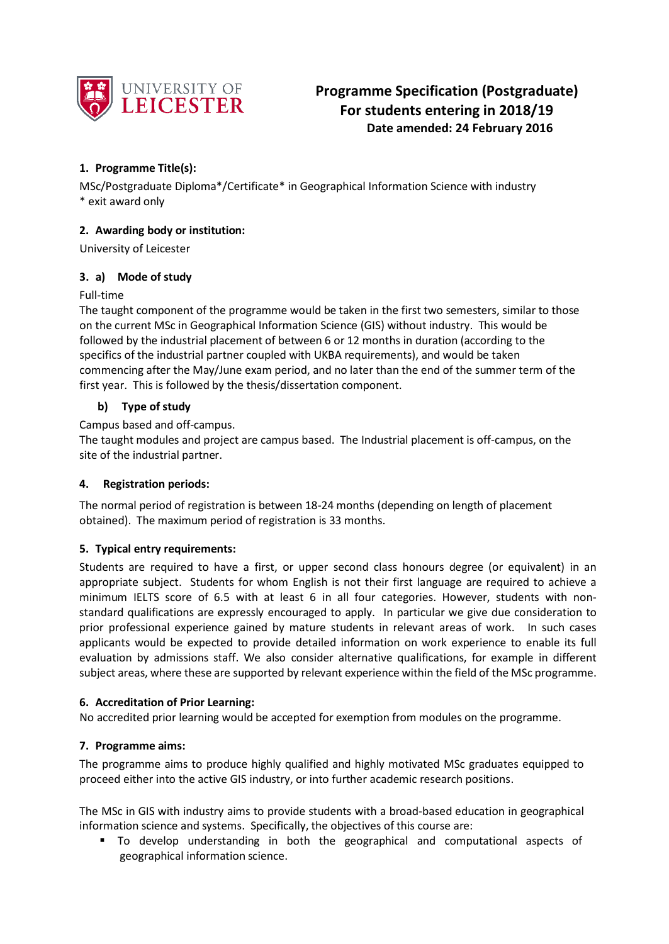

# **1. Programme Title(s):**

MSc/Postgraduate Diploma\*/Certificate\* in Geographical Information Science with industry \* exit award only

## **2. Awarding body or institution:**

University of Leicester

## **3. a) Mode of study**

## Full-time

The taught component of the programme would be taken in the first two semesters, similar to those on the current MSc in Geographical Information Science (GIS) without industry. This would be followed by the industrial placement of between 6 or 12 months in duration (according to the specifics of the industrial partner coupled with UKBA requirements), and would be taken commencing after the May/June exam period, and no later than the end of the summer term of the first year. This is followed by the thesis/dissertation component.

## **b) Type of study**

Campus based and off-campus.

The taught modules and project are campus based. The Industrial placement is off-campus, on the site of the industrial partner.

## **4. Registration periods:**

The normal period of registration is between 18-24 months (depending on length of placement obtained). The maximum period of registration is 33 months.

## **5. Typical entry requirements:**

Students are required to have a first, or upper second class honours degree (or equivalent) in an appropriate subject. Students for whom English is not their first language are required to achieve a minimum IELTS score of 6.5 with at least 6 in all four categories. However, students with nonstandard qualifications are expressly encouraged to apply. In particular we give due consideration to prior professional experience gained by mature students in relevant areas of work. In such cases applicants would be expected to provide detailed information on work experience to enable its full evaluation by admissions staff. We also consider alternative qualifications, for example in different subject areas, where these are supported by relevant experience within the field of the MSc programme.

## **6. Accreditation of Prior Learning:**

No accredited prior learning would be accepted for exemption from modules on the programme.

## **7. Programme aims:**

The programme aims to produce highly qualified and highly motivated MSc graduates equipped to proceed either into the active GIS industry, or into further academic research positions.

The MSc in GIS with industry aims to provide students with a broad-based education in geographical information science and systems. Specifically, the objectives of this course are:

 To develop understanding in both the geographical and computational aspects of geographical information science.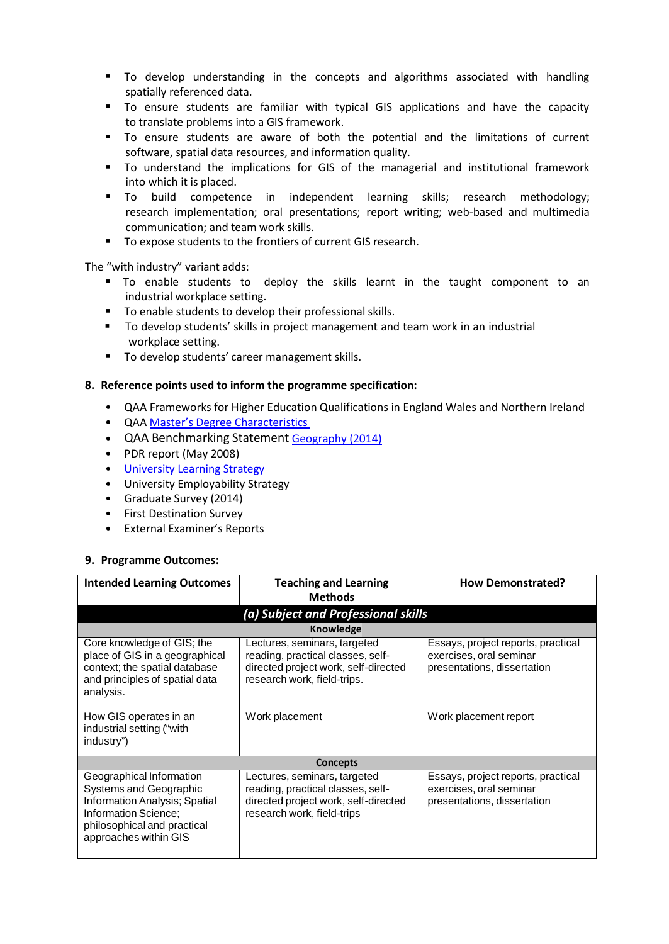- To develop understanding in the concepts and algorithms associated with handling spatially referenced data.
- To ensure students are familiar with typical GIS applications and have the capacity to translate problems into a GIS framework.
- To ensure students are aware of both the potential and the limitations of current software, spatial data resources, and information quality.
- To understand the implications for GIS of the managerial and institutional framework into which it is placed.
- To build competence in independent learning skills; research methodology; research implementation; oral presentations; report writing; web-based and multimedia communication; and team work skills.
- To expose students to the frontiers of current GIS research.

The "with industry" variant adds:

- To enable students to deploy the skills learnt in the taught component to an industrial workplace setting.
- **To enable students to develop their professional skills.**
- To develop students' skills in project management and team work in an industrial workplace setting.
- **To develop students' career management skills.**

## **8. Reference points used to inform the programme specification:**

- QAA Frameworks for Higher Education Qualifications in England Wales and Northern Ireland
- QAA Master's Degree [Characteristics](http://www.qaa.ac.uk/en/Publications/Documents/Masters-Degree-Characteristics-2010.pdf)
- QAA Benchmarking Statement [Geography](http://www.qaa.ac.uk/publications/information-and-guidance/publication?PubID=2873) (2014)
- PDR report (May 2008)
- University [Learning Strategy](http://www2.le.ac.uk/offices/sas2/quality/learnteach)
- University Employability Strategy
- Graduate Survey (2014)
- First Destination Survey
- External Examiner's Reports

## **9. Programme Outcomes:**

| <b>Intended Learning Outcomes</b>                                                                                                                                          | <b>Teaching and Learning</b><br><b>Methods</b>                                                                                           | <b>How Demonstrated?</b>                                                                     |  |  |  |  |  |  |  |  |  |  |  |
|----------------------------------------------------------------------------------------------------------------------------------------------------------------------------|------------------------------------------------------------------------------------------------------------------------------------------|----------------------------------------------------------------------------------------------|--|--|--|--|--|--|--|--|--|--|--|
| (a) Subject and Professional skills                                                                                                                                        |                                                                                                                                          |                                                                                              |  |  |  |  |  |  |  |  |  |  |  |
| Knowledge                                                                                                                                                                  |                                                                                                                                          |                                                                                              |  |  |  |  |  |  |  |  |  |  |  |
| Core knowledge of GIS; the<br>place of GIS in a geographical<br>context; the spatial database<br>and principles of spatial data<br>analysis.                               | Lectures, seminars, targeted<br>reading, practical classes, self-<br>directed project work, self-directed<br>research work, field-trips. | Essays, project reports, practical<br>exercises, oral seminar<br>presentations, dissertation |  |  |  |  |  |  |  |  |  |  |  |
| How GIS operates in an<br>industrial setting ("with<br>industry")                                                                                                          | Work placement                                                                                                                           | Work placement report                                                                        |  |  |  |  |  |  |  |  |  |  |  |
|                                                                                                                                                                            | <b>Concepts</b>                                                                                                                          |                                                                                              |  |  |  |  |  |  |  |  |  |  |  |
| Geographical Information<br>Systems and Geographic<br><b>Information Analysis; Spatial</b><br>Information Science;<br>philosophical and practical<br>approaches within GIS | Lectures, seminars, targeted<br>reading, practical classes, self-<br>directed project work, self-directed<br>research work, field-trips  | Essays, project reports, practical<br>exercises, oral seminar<br>presentations, dissertation |  |  |  |  |  |  |  |  |  |  |  |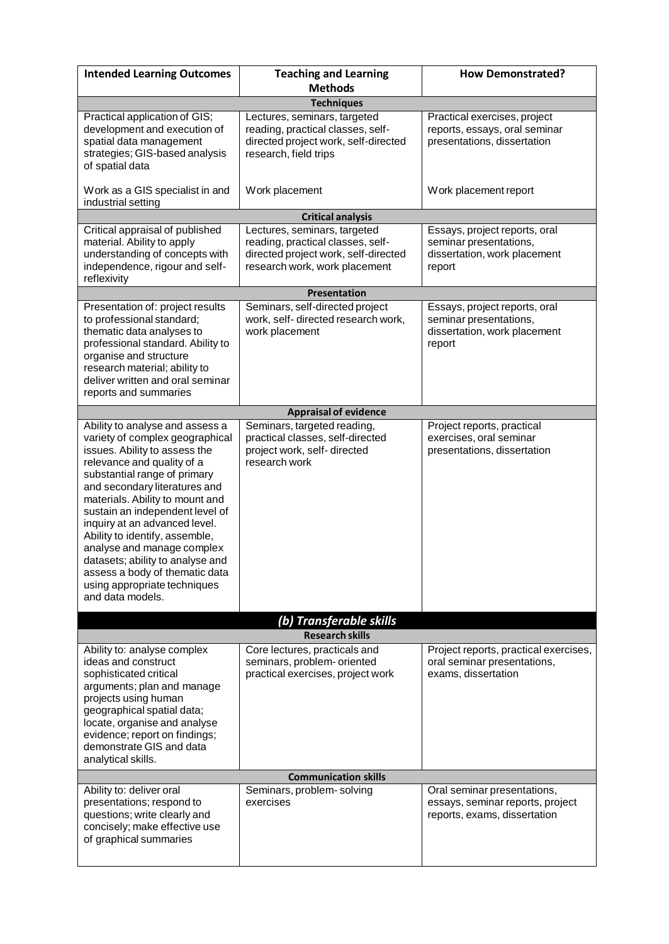| <b>Intended Learning Outcomes</b>                                                                                                                                                                                                                                                                                                                                                                                                                                                                   | <b>Teaching and Learning</b><br><b>Methods</b>                                                                                             | <b>How Demonstrated?</b>                                                                          |  |  |  |  |  |  |  |  |  |  |  |
|-----------------------------------------------------------------------------------------------------------------------------------------------------------------------------------------------------------------------------------------------------------------------------------------------------------------------------------------------------------------------------------------------------------------------------------------------------------------------------------------------------|--------------------------------------------------------------------------------------------------------------------------------------------|---------------------------------------------------------------------------------------------------|--|--|--|--|--|--|--|--|--|--|--|
| <b>Techniques</b>                                                                                                                                                                                                                                                                                                                                                                                                                                                                                   |                                                                                                                                            |                                                                                                   |  |  |  |  |  |  |  |  |  |  |  |
| Practical application of GIS;<br>development and execution of<br>spatial data management<br>strategies; GIS-based analysis<br>of spatial data                                                                                                                                                                                                                                                                                                                                                       | Lectures, seminars, targeted<br>reading, practical classes, self-<br>directed project work, self-directed<br>research, field trips         | Practical exercises, project<br>reports, essays, oral seminar<br>presentations, dissertation      |  |  |  |  |  |  |  |  |  |  |  |
| Work as a GIS specialist in and<br>industrial setting                                                                                                                                                                                                                                                                                                                                                                                                                                               | Work placement                                                                                                                             | Work placement report                                                                             |  |  |  |  |  |  |  |  |  |  |  |
|                                                                                                                                                                                                                                                                                                                                                                                                                                                                                                     | <b>Critical analysis</b>                                                                                                                   |                                                                                                   |  |  |  |  |  |  |  |  |  |  |  |
| Critical appraisal of published<br>material. Ability to apply<br>understanding of concepts with<br>independence, rigour and self-<br>reflexivity                                                                                                                                                                                                                                                                                                                                                    | Lectures, seminars, targeted<br>reading, practical classes, self-<br>directed project work, self-directed<br>research work, work placement | Essays, project reports, oral<br>seminar presentations,<br>dissertation, work placement<br>report |  |  |  |  |  |  |  |  |  |  |  |
| Presentation                                                                                                                                                                                                                                                                                                                                                                                                                                                                                        |                                                                                                                                            |                                                                                                   |  |  |  |  |  |  |  |  |  |  |  |
| Presentation of: project results<br>to professional standard;<br>thematic data analyses to<br>professional standard. Ability to<br>organise and structure<br>research material; ability to<br>deliver written and oral seminar<br>reports and summaries                                                                                                                                                                                                                                             | Seminars, self-directed project<br>work, self- directed research work,<br>work placement                                                   | Essays, project reports, oral<br>seminar presentations,<br>dissertation, work placement<br>report |  |  |  |  |  |  |  |  |  |  |  |
|                                                                                                                                                                                                                                                                                                                                                                                                                                                                                                     | <b>Appraisal of evidence</b>                                                                                                               |                                                                                                   |  |  |  |  |  |  |  |  |  |  |  |
| Ability to analyse and assess a<br>variety of complex geographical<br>issues. Ability to assess the<br>relevance and quality of a<br>substantial range of primary<br>and secondary literatures and<br>materials. Ability to mount and<br>sustain an independent level of<br>inquiry at an advanced level.<br>Ability to identify, assemble,<br>analyse and manage complex<br>datasets; ability to analyse and<br>assess a body of thematic data<br>using appropriate techniques<br>and data models. | Seminars, targeted reading,<br>practical classes, self-directed<br>project work, self-directed<br>research work                            | Project reports, practical<br>exercises, oral seminar<br>presentations, dissertation              |  |  |  |  |  |  |  |  |  |  |  |
|                                                                                                                                                                                                                                                                                                                                                                                                                                                                                                     | (b) Transferable skills                                                                                                                    |                                                                                                   |  |  |  |  |  |  |  |  |  |  |  |
|                                                                                                                                                                                                                                                                                                                                                                                                                                                                                                     | <b>Research skills</b>                                                                                                                     |                                                                                                   |  |  |  |  |  |  |  |  |  |  |  |
| Ability to: analyse complex<br>ideas and construct<br>sophisticated critical<br>arguments; plan and manage<br>projects using human<br>geographical spatial data;<br>locate, organise and analyse<br>evidence; report on findings;<br>demonstrate GIS and data<br>analytical skills.                                                                                                                                                                                                                 | Core lectures, practicals and<br>seminars, problem- oriented<br>practical exercises, project work                                          | Project reports, practical exercises,<br>oral seminar presentations,<br>exams, dissertation       |  |  |  |  |  |  |  |  |  |  |  |
|                                                                                                                                                                                                                                                                                                                                                                                                                                                                                                     | <b>Communication skills</b>                                                                                                                |                                                                                                   |  |  |  |  |  |  |  |  |  |  |  |
| Ability to: deliver oral<br>presentations; respond to<br>questions; write clearly and<br>concisely; make effective use<br>of graphical summaries                                                                                                                                                                                                                                                                                                                                                    | Seminars, problem-solving<br>exercises                                                                                                     | Oral seminar presentations,<br>essays, seminar reports, project<br>reports, exams, dissertation   |  |  |  |  |  |  |  |  |  |  |  |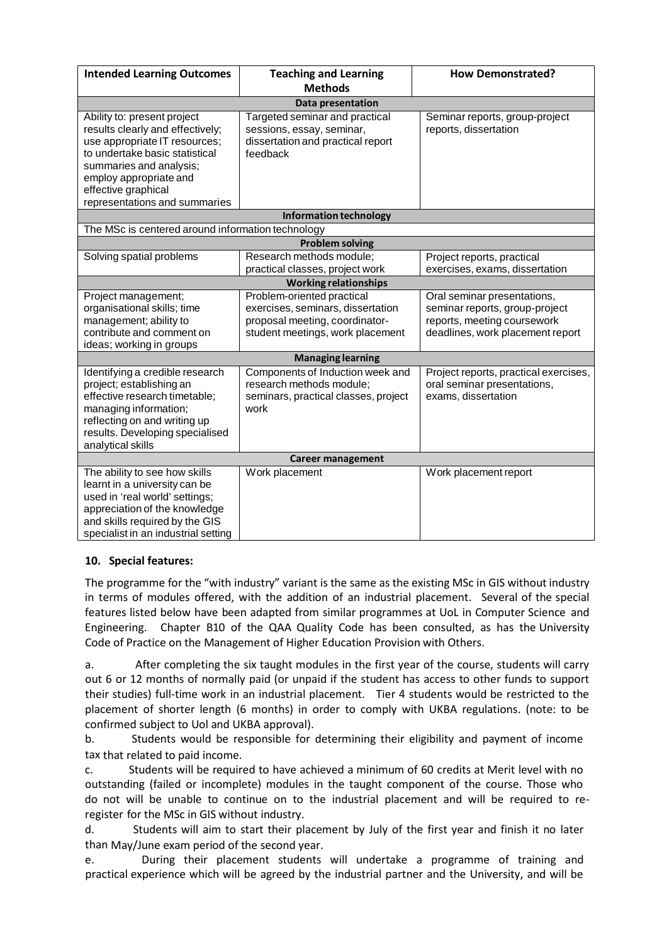| <b>Intended Learning Outcomes</b>                         | <b>Teaching and Learning</b><br><b>Methods</b> | <b>How Demonstrated?</b>                           |  |  |  |  |  |  |  |  |  |  |
|-----------------------------------------------------------|------------------------------------------------|----------------------------------------------------|--|--|--|--|--|--|--|--|--|--|
| <b>Data presentation</b>                                  |                                                |                                                    |  |  |  |  |  |  |  |  |  |  |
| Ability to: present project                               | Targeted seminar and practical                 | Seminar reports, group-project                     |  |  |  |  |  |  |  |  |  |  |
| results clearly and effectively;                          | sessions, essay, seminar,                      | reports, dissertation                              |  |  |  |  |  |  |  |  |  |  |
| use appropriate IT resources;                             | dissertation and practical report              |                                                    |  |  |  |  |  |  |  |  |  |  |
| to undertake basic statistical                            | feedback                                       |                                                    |  |  |  |  |  |  |  |  |  |  |
| summaries and analysis;                                   |                                                |                                                    |  |  |  |  |  |  |  |  |  |  |
| employ appropriate and                                    |                                                |                                                    |  |  |  |  |  |  |  |  |  |  |
| effective graphical                                       |                                                |                                                    |  |  |  |  |  |  |  |  |  |  |
| representations and summaries                             |                                                |                                                    |  |  |  |  |  |  |  |  |  |  |
|                                                           | <b>Information technology</b>                  |                                                    |  |  |  |  |  |  |  |  |  |  |
| The MSc is centered around information technology         |                                                |                                                    |  |  |  |  |  |  |  |  |  |  |
|                                                           | <b>Problem solving</b>                         |                                                    |  |  |  |  |  |  |  |  |  |  |
| Solving spatial problems                                  | Research methods module;                       | Project reports, practical                         |  |  |  |  |  |  |  |  |  |  |
|                                                           | practical classes, project work                | exercises, exams, dissertation                     |  |  |  |  |  |  |  |  |  |  |
|                                                           | <b>Working relationships</b>                   |                                                    |  |  |  |  |  |  |  |  |  |  |
| Project management;                                       | Problem-oriented practical                     | Oral seminar presentations,                        |  |  |  |  |  |  |  |  |  |  |
| organisational skills; time                               | exercises, seminars, dissertation              | seminar reports, group-project                     |  |  |  |  |  |  |  |  |  |  |
| management; ability to                                    | proposal meeting, coordinator-                 | reports, meeting coursework                        |  |  |  |  |  |  |  |  |  |  |
| contribute and comment on                                 | student meetings, work placement               | deadlines, work placement report                   |  |  |  |  |  |  |  |  |  |  |
| ideas; working in groups                                  |                                                |                                                    |  |  |  |  |  |  |  |  |  |  |
|                                                           | <b>Managing learning</b>                       |                                                    |  |  |  |  |  |  |  |  |  |  |
| Identifying a credible research                           | Components of Induction week and               | Project reports, practical exercises,              |  |  |  |  |  |  |  |  |  |  |
| project; establishing an<br>effective research timetable; | research methods module;                       | oral seminar presentations,<br>exams, dissertation |  |  |  |  |  |  |  |  |  |  |
| managing information;                                     | seminars, practical classes, project<br>work   |                                                    |  |  |  |  |  |  |  |  |  |  |
| reflecting on and writing up                              |                                                |                                                    |  |  |  |  |  |  |  |  |  |  |
| results. Developing specialised                           |                                                |                                                    |  |  |  |  |  |  |  |  |  |  |
| analytical skills                                         |                                                |                                                    |  |  |  |  |  |  |  |  |  |  |
|                                                           | <b>Career management</b>                       |                                                    |  |  |  |  |  |  |  |  |  |  |
| The ability to see how skills                             | Work placement                                 | Work placement report                              |  |  |  |  |  |  |  |  |  |  |
| learnt in a university can be                             |                                                |                                                    |  |  |  |  |  |  |  |  |  |  |
| used in 'real world' settings;                            |                                                |                                                    |  |  |  |  |  |  |  |  |  |  |
| appreciation of the knowledge                             |                                                |                                                    |  |  |  |  |  |  |  |  |  |  |
| and skills required by the GIS                            |                                                |                                                    |  |  |  |  |  |  |  |  |  |  |
| specialist in an industrial setting                       |                                                |                                                    |  |  |  |  |  |  |  |  |  |  |

## **10. Special features:**

The programme for the "with industry" variant is the same as the existing MSc in GIS without industry in terms of modules offered, with the addition of an industrial placement. Several of the special features listed below have been adapted from similar programmes at UoL in Computer Science and Engineering. Chapter B10 of the QAA Quality Code has been consulted, as has the University Code of Practice on the Management of Higher Education Provision with Others.

a. After completing the six taught modules in the first year of the course, students will carry out 6 or 12 months of normally paid (or unpaid if the student has access to other funds to support their studies) full-time work in an industrial placement. Tier 4 students would be restricted to the placement of shorter length (6 months) in order to comply with UKBA regulations. (note: to be confirmed subject to Uol and UKBA approval).

b. Students would be responsible for determining their eligibility and payment of income tax that related to paid income.

c. Students will be required to have achieved a minimum of 60 credits at Merit level with no outstanding (failed or incomplete) modules in the taught component of the course. Those who do not will be unable to continue on to the industrial placement and will be required to reregister for the MSc in GIS without industry.

d. Students will aim to start their placement by July of the first year and finish it no later than May/June exam period of the second year.

e. During their placement students will undertake a programme of training and practical experience which will be agreed by the industrial partner and the University, and will be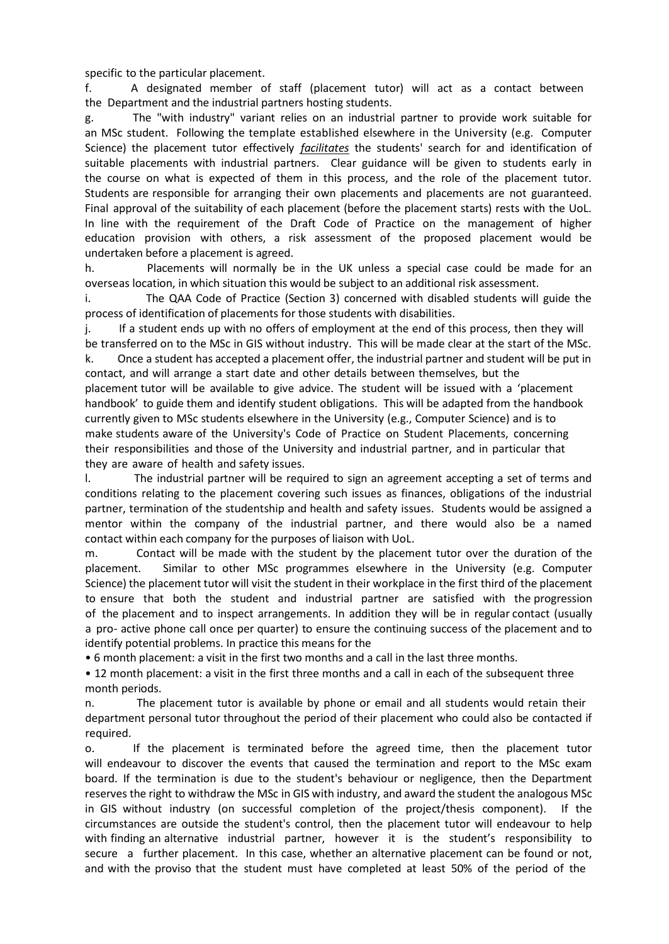specific to the particular placement.

f. A designated member of staff (placement tutor) will act as a contact between the Department and the industrial partners hosting students.

g. The "with industry" variant relies on an industrial partner to provide work suitable for an MSc student. Following the template established elsewhere in the University (e.g. Computer Science) the placement tutor effectively *facilitates* the students' search for and identification of suitable placements with industrial partners. Clear guidance will be given to students early in the course on what is expected of them in this process, and the role of the placement tutor. Students are responsible for arranging their own placements and placements are not guaranteed. Final approval of the suitability of each placement (before the placement starts) rests with the UoL. In line with the requirement of the Draft Code of Practice on the management of higher education provision with others, a risk assessment of the proposed placement would be undertaken before a placement is agreed.

h. Placements will normally be in the UK unless a special case could be made for an overseas location, in which situation this would be subject to an additional risk assessment.

i. The QAA Code of Practice (Section 3) concerned with disabled students will guide the process of identification of placements for those students with disabilities.

j. If a student ends up with no offers of employment at the end of this process, then they will be transferred on to the MSc in GIS without industry. This will be made clear at the start of the MSc. k. Once a student has accepted a placement offer, the industrial partner and student will be put in

contact, and will arrange a start date and other details between themselves, but the placement tutor will be available to give advice. The student will be issued with a 'placement handbook' to guide them and identify student obligations. This will be adapted from the handbook currently given to MSc students elsewhere in the University (e.g., Computer Science) and is to make students aware of the University's Code of Practice on Student Placements, concerning their responsibilities and those of the University and industrial partner, and in particular that they are aware of health and safety issues.

l. The industrial partner will be required to sign an agreement accepting a set of terms and conditions relating to the placement covering such issues as finances, obligations of the industrial partner, termination of the studentship and health and safety issues. Students would be assigned a mentor within the company of the industrial partner, and there would also be a named contact within each company for the purposes of liaison with UoL.

m. Contact will be made with the student by the placement tutor over the duration of the placement. Similar to other MSc programmes elsewhere in the University (e.g. Computer Science) the placement tutor will visit the student in their workplace in the first third of the placement to ensure that both the student and industrial partner are satisfied with the progression of the placement and to inspect arrangements. In addition they will be in regular contact (usually a pro- active phone call once per quarter) to ensure the continuing success of the placement and to identify potential problems. In practice this means for the

• 6 month placement: a visit in the first two months and a call in the last three months.

• 12 month placement: a visit in the first three months and a call in each of the subsequent three month periods.

n. The placement tutor is available by phone or email and all students would retain their department personal tutor throughout the period of their placement who could also be contacted if required.

o. If the placement is terminated before the agreed time, then the placement tutor will endeavour to discover the events that caused the termination and report to the MSc exam board. If the termination is due to the student's behaviour or negligence, then the Department reserves the right to withdraw the MSc in GIS with industry, and award the student the analogous MSc in GIS without industry (on successful completion of the project/thesis component). If the circumstances are outside the student's control, then the placement tutor will endeavour to help with finding an alternative industrial partner, however it is the student's responsibility to secure a further placement. In this case, whether an alternative placement can be found or not, and with the proviso that the student must have completed at least 50% of the period of the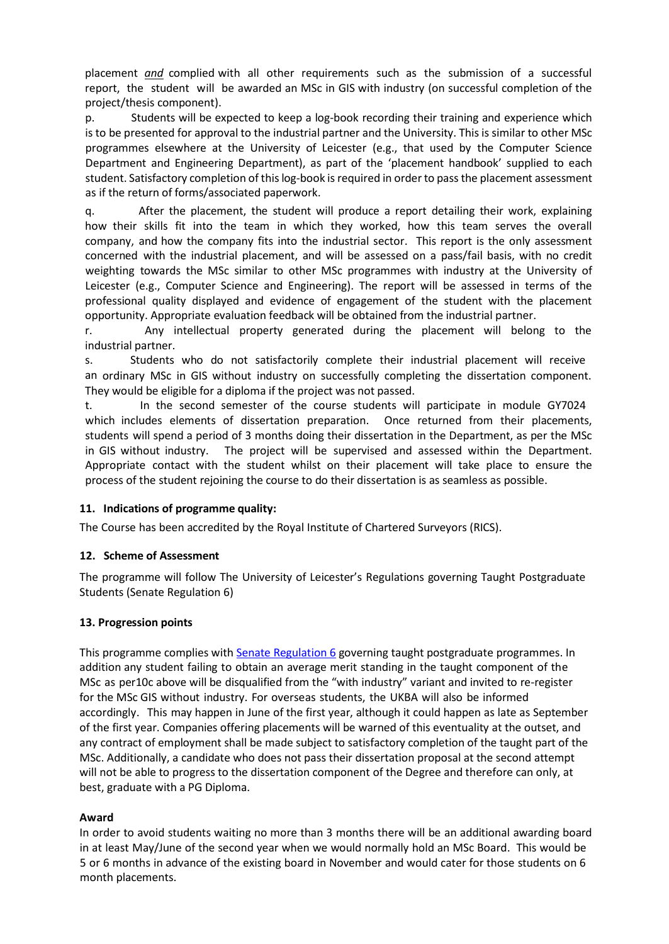placement *and* complied with all other requirements such as the submission of a successful report, the student will be awarded an MSc in GIS with industry (on successful completion of the project/thesis component).

p. Students will be expected to keep a log-book recording their training and experience which is to be presented for approval to the industrial partner and the University. This is similar to other MSc programmes elsewhere at the University of Leicester (e.g., that used by the Computer Science Department and Engineering Department), as part of the 'placement handbook' supplied to each student. Satisfactory completion of this log-book is required in order to pass the placement assessment as if the return of forms/associated paperwork.

q. After the placement, the student will produce a report detailing their work, explaining how their skills fit into the team in which they worked, how this team serves the overall company, and how the company fits into the industrial sector. This report is the only assessment concerned with the industrial placement, and will be assessed on a pass/fail basis, with no credit weighting towards the MSc similar to other MSc programmes with industry at the University of Leicester (e.g., Computer Science and Engineering). The report will be assessed in terms of the professional quality displayed and evidence of engagement of the student with the placement opportunity. Appropriate evaluation feedback will be obtained from the industrial partner.

r. Any intellectual property generated during the placement will belong to the industrial partner.

s. Students who do not satisfactorily complete their industrial placement will receive an ordinary MSc in GIS without industry on successfully completing the dissertation component. They would be eligible for a diploma if the project was not passed.

t. In the second semester of the course students will participate in module GY7024 which includes elements of dissertation preparation. Once returned from their placements, students will spend a period of 3 months doing their dissertation in the Department, as per the MSc in GIS without industry. The project will be supervised and assessed within the Department. Appropriate contact with the student whilst on their placement will take place to ensure the process of the student rejoining the course to do their dissertation is as seamless as possible.

## **11. Indications of programme quality:**

The Course has been accredited by the Royal Institute of Chartered Surveyors (RICS).

## **12. Scheme of Assessment**

The programme will follow The University of Leicester's Regulations governing Taught Postgraduate Students (Senate Regulation 6)

## **13. Progression points**

This programme complies with **Senate [Regulation](http://www2.le.ac.uk/offices/sas2/regulations/general-regulations-for-taught-programmes) 6** governing taught postgraduate programmes. In addition any student failing to obtain an average merit standing in the taught component of the MSc as per10c above will be disqualified from the "with industry" variant and invited to re-register for the MSc GIS without industry. For overseas students, the UKBA will also be informed accordingly. This may happen in June of the first year, although it could happen as late as September of the first year. Companies offering placements will be warned of this eventuality at the outset, and any contract of employment shall be made subject to satisfactory completion of the taught part of the MSc. Additionally, a candidate who does not pass their dissertation proposal at the second attempt will not be able to progress to the dissertation component of the Degree and therefore can only, at best, graduate with a PG Diploma.

## **Award**

In order to avoid students waiting no more than 3 months there will be an additional awarding board in at least May/June of the second year when we would normally hold an MSc Board. This would be 5 or 6 months in advance of the existing board in November and would cater for those students on 6 month placements.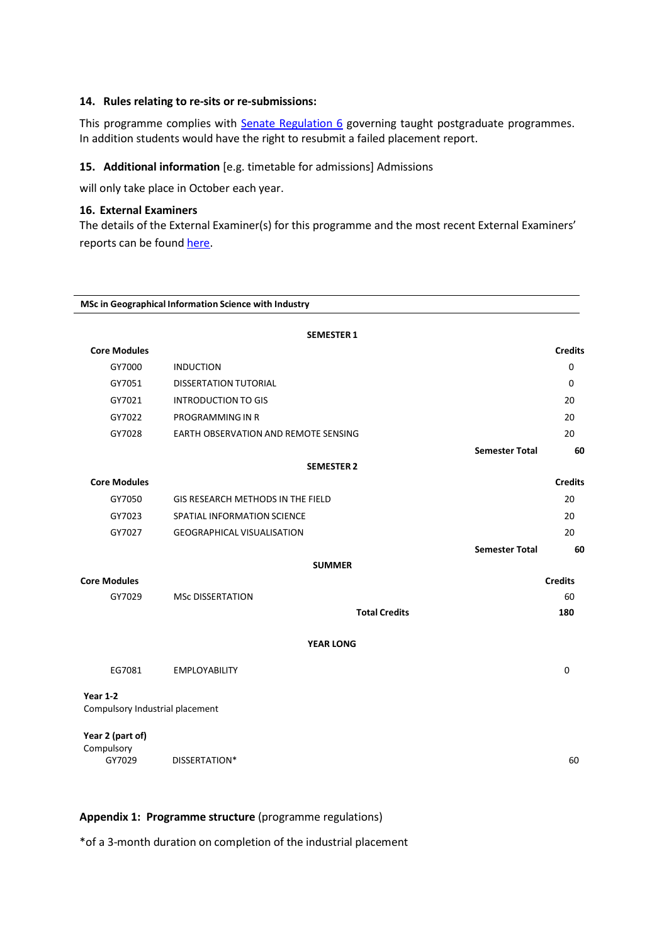#### **14. Rules relating to re-sits or re-submissions:**

This programme complies with **Senate [Regulation](http://www2.le.ac.uk/offices/sas2/regulations/general-regulations-for-taught-programmes) 6** governing taught postgraduate programmes. In addition students would have the right to resubmit a failed placement report.

#### **15. Additional information** [e.g. timetable for admissions] Admissions

will only take place in October each year.

#### **16. External Examiners**

The details of the External Examiner(s) for this programme and the most recent External Examiners' reports can be found [here.](https://exampapers.le.ac.uk/xmlui/handle/123456789/188)

|                                             | MSc in Geographical Information Science with Industry |                       |                |
|---------------------------------------------|-------------------------------------------------------|-----------------------|----------------|
|                                             | <b>SEMESTER 1</b>                                     |                       |                |
| <b>Core Modules</b>                         |                                                       |                       | <b>Credits</b> |
| GY7000                                      | <b>INDUCTION</b>                                      |                       | $\mathbf 0$    |
| GY7051                                      | <b>DISSERTATION TUTORIAL</b>                          |                       | 0              |
| GY7021                                      | <b>INTRODUCTION TO GIS</b>                            |                       | 20             |
| GY7022                                      | PROGRAMMING IN R                                      |                       | 20             |
| GY7028                                      | EARTH OBSERVATION AND REMOTE SENSING                  |                       | 20             |
|                                             |                                                       | <b>Semester Total</b> | 60             |
|                                             | <b>SEMESTER 2</b>                                     |                       |                |
| <b>Core Modules</b>                         |                                                       |                       | <b>Credits</b> |
| GY7050                                      | GIS RESEARCH METHODS IN THE FIELD                     |                       | 20             |
| GY7023                                      | SPATIAL INFORMATION SCIENCE                           |                       | 20             |
| GY7027                                      | <b>GEOGRAPHICAL VISUALISATION</b>                     |                       | 20             |
|                                             |                                                       | <b>Semester Total</b> | 60             |
|                                             | <b>SUMMER</b>                                         |                       |                |
| <b>Core Modules</b>                         |                                                       |                       | <b>Credits</b> |
| GY7029                                      | <b>MSc DISSERTATION</b>                               |                       | 60             |
|                                             |                                                       | <b>Total Credits</b>  | 180            |
|                                             | <b>YEAR LONG</b>                                      |                       |                |
| EG7081                                      | <b>EMPLOYABILITY</b>                                  |                       | $\mathbf 0$    |
| Year 1-2<br>Compulsory Industrial placement |                                                       |                       |                |
| Year 2 (part of)<br>Compulsory<br>GY7029    | DISSERTATION*                                         |                       | 60             |

## **Appendix 1: Programme structure** (programme regulations)

\*of a 3-month duration on completion of the industrial placement